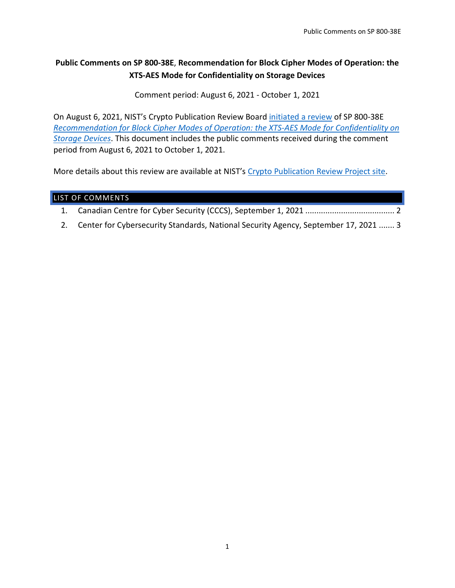# **Public Comments on SP 800-38E**, **Recommendation for Block Cipher Modes of Operation: the XTS-AES Mode for Confidentiality on Storage Devices**

Comment period: August 6, 2021 - October 1, 2021

On August 6, 2021, NIST's Crypto Publication Review Board [initiated a review](https://csrc.nist.gov/News/2021/call-for-comments-fips-198-1-hash-pubs-and-others) of SP 800-38E *[Recommendation for Block Cipher Modes of Operation: the XTS-AES Mode for Confidentiality on](https://csrc.nist.gov/publications/detail/sp/800-38e/final)  [Storage Devices](https://csrc.nist.gov/publications/detail/sp/800-38e/final)*. This document includes the public comments received during the comment period from August 6, 2021 to October 1, 2021.

More details about this review are available at NIST's [Crypto Publication Review Project site.](https://csrc.nist.gov/Projects/crypto-publication-review-project)

# LIST OF COMMENTS

|--|--|--|

2. [Center for Cybersecurity Standards, National Security Agency, September 17, 2021](#page-2-0) ....... 3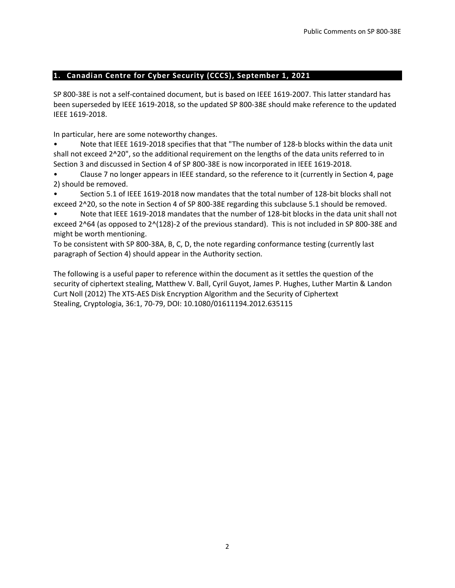## <span id="page-1-0"></span>**1. Canadian Centre for Cyber Security (CCCS), September 1, 2021**

SP 800-38E is not a self-contained document, but is based on IEEE 1619-2007. This latter standard has been superseded by IEEE 1619-2018, so the updated SP 800-38E should make reference to the updated IEEE 1619-2018.

In particular, here are some noteworthy changes.

Note that IEEE 1619-2018 specifies that that "The number of 128-b blocks within the data unit shall not exceed 2^20", so the additional requirement on the lengths of the data units referred to in Section 3 and discussed in Section 4 of SP 800-38E is now incorporated in IEEE 1619-2018.

• Clause 7 no longer appears in IEEE standard, so the reference to it (currently in Section 4, page 2) should be removed.

• Section 5.1 of IEEE 1619-2018 now mandates that the total number of 128-bit blocks shall not exceed 2^20, so the note in Section 4 of SP 800-38E regarding this subclause 5.1 should be removed.

• Note that IEEE 1619-2018 mandates that the number of 128-bit blocks in the data unit shall not exceed 2^64 (as opposed to 2^(128)-2 of the previous standard). This is not included in SP 800-38E and might be worth mentioning.

To be consistent with SP 800-38A, B, C, D, the note regarding conformance testing (currently last paragraph of Section 4) should appear in the Authority section.

The following is a useful paper to reference within the document as it settles the question of the security of ciphertext stealing, Matthew V. Ball, Cyril Guyot, James P. Hughes, Luther Martin & Landon Curt Noll (2012) The XTS-AES Disk Encryption Algorithm and the Security of Ciphertext Stealing, Cryptologia, 36:1, 70-79, DOI: 10.1080/01611194.2012.635115